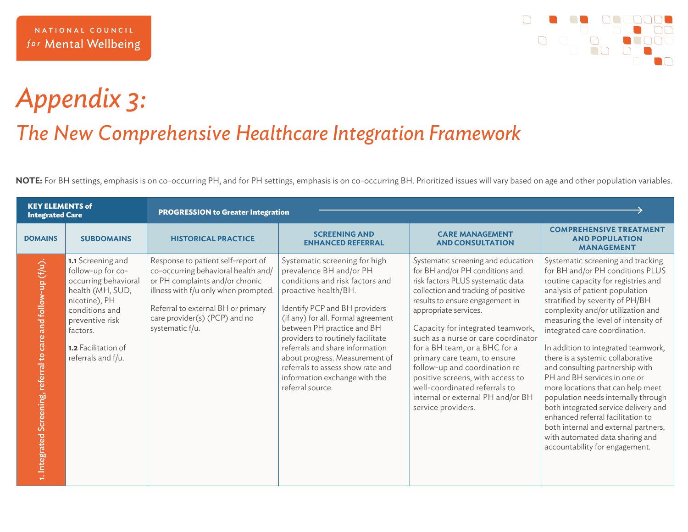

## *Appendix 3: The New Comprehensive Healthcare Integration Framework*

**NOTE:** For BH settings, emphasis is on co-occurring PH, and for PH settings, emphasis is on co-occurring BH. Prioritized issues will vary based on age and other population variables.

| <b>KEY ELEMENTS of</b><br><b>Integrated Care</b>               |                                                                                                                                                                                                          | <b>PROGRESSION to Greater Integration</b>                                                                                                                                                                                                      |                                                                                                                                                                                                                                                                                                                                                                                                                              |                                                                                                                                                                                                                                                                                                                                                                                                                                                                                                                             |                                                                                                                                                                                                                                                                                                                                                                                                                                                                                                                                                                                                                                                                                                                     |  |
|----------------------------------------------------------------|----------------------------------------------------------------------------------------------------------------------------------------------------------------------------------------------------------|------------------------------------------------------------------------------------------------------------------------------------------------------------------------------------------------------------------------------------------------|------------------------------------------------------------------------------------------------------------------------------------------------------------------------------------------------------------------------------------------------------------------------------------------------------------------------------------------------------------------------------------------------------------------------------|-----------------------------------------------------------------------------------------------------------------------------------------------------------------------------------------------------------------------------------------------------------------------------------------------------------------------------------------------------------------------------------------------------------------------------------------------------------------------------------------------------------------------------|---------------------------------------------------------------------------------------------------------------------------------------------------------------------------------------------------------------------------------------------------------------------------------------------------------------------------------------------------------------------------------------------------------------------------------------------------------------------------------------------------------------------------------------------------------------------------------------------------------------------------------------------------------------------------------------------------------------------|--|
| <b>DOMAINS</b>                                                 | <b>SUBDOMAINS</b>                                                                                                                                                                                        | <b>HISTORICAL PRACTICE</b>                                                                                                                                                                                                                     | <b>SCREENING AND</b><br><b>ENHANCED REFERRAL</b>                                                                                                                                                                                                                                                                                                                                                                             | <b>CARE MANAGEMENT</b><br><b>AND CONSULTATION</b>                                                                                                                                                                                                                                                                                                                                                                                                                                                                           | <b>COMPREHENSIVE TREATMENT</b><br><b>AND POPULATION</b><br><b>MANAGEMENT</b>                                                                                                                                                                                                                                                                                                                                                                                                                                                                                                                                                                                                                                        |  |
| 1. Integrated Screening, referral to care and follow-up (f/u). | 1.1 Screening and<br>follow-up for co-<br>occurring behavioral<br>health (MH, SUD,<br>nicotine), PH<br>conditions and<br>preventive risk<br>factors.<br><b>1.2</b> Facilitation of<br>referrals and f/u. | Response to patient self-report of<br>co-occurring behavioral health and/<br>or PH complaints and/or chronic<br>illness with f/u only when prompted.<br>Referral to external BH or primary<br>care provider(s) (PCP) and no<br>systematic f/u. | Systematic screening for high<br>prevalence BH and/or PH<br>conditions and risk factors and<br>proactive health/BH.<br>Identify PCP and BH providers<br>(if any) for all. Formal agreement<br>between PH practice and BH<br>providers to routinely facilitate<br>referrals and share information<br>about progress. Measurement of<br>referrals to assess show rate and<br>information exchange with the<br>referral source. | Systematic screening and education<br>for BH and/or PH conditions and<br>risk factors PLUS systematic data<br>collection and tracking of positive<br>results to ensure engagement in<br>appropriate services.<br>Capacity for integrated teamwork,<br>such as a nurse or care coordinator<br>for a BH team, or a BHC for a<br>primary care team, to ensure<br>follow-up and coordination re<br>positive screens, with access to<br>well-coordinated referrals to<br>internal or external PH and/or BH<br>service providers. | Systematic screening and tracking<br>for BH and/or PH conditions PLUS<br>routine capacity for registries and<br>analysis of patient population<br>stratified by severity of PH/BH<br>complexity and/or utilization and<br>measuring the level of intensity of<br>integrated care coordination.<br>In addition to integrated teamwork,<br>there is a systemic collaborative<br>and consulting partnership with<br>PH and BH services in one or<br>more locations that can help meet<br>population needs internally through<br>both integrated service delivery and<br>enhanced referral facilitation to<br>both internal and external partners,<br>with automated data sharing and<br>accountability for engagement. |  |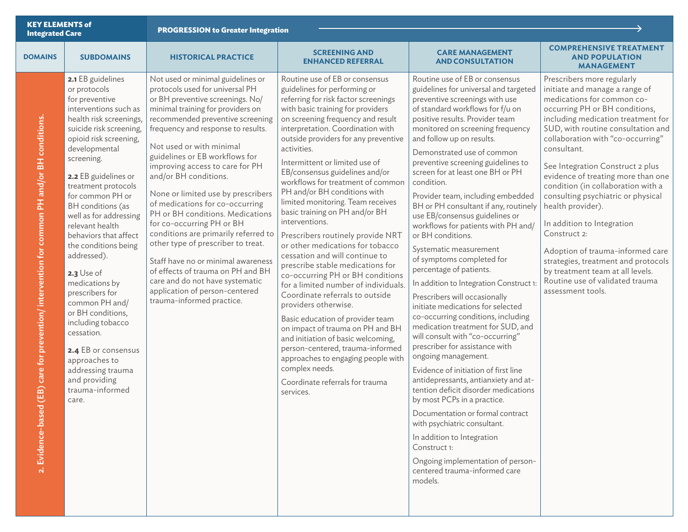| <b>KEY ELEMENTS of</b><br><b>Integrated Care</b>                                                                         |                                                                                                                                                                                                                                                                                                                                                                                                                                                                                                                                                                                                                                         | <b>PROGRESSION to Greater Integration</b>                                                                                                                                                                                                                                                                                                                                                                                                                                                                                                                                                                                                                                                                                                              |                                                                                                                                                                                                                                                                                                                                                                                                                                                                                                                                                                                                                                                                                                                                                                                                                                                                                                                                                                                                                                                                |                                                                                                                                                                                                                                                                                                                                                                                                                                                                                                                                                                                                                                                                                                                                                                                                                                                                                                                                                                                                                                                                                                                                                                                                                                                                                         |                                                                                                                                                                                                                                                                                                                                                                                                                                                                                                                                                                                                                                                              |  |
|--------------------------------------------------------------------------------------------------------------------------|-----------------------------------------------------------------------------------------------------------------------------------------------------------------------------------------------------------------------------------------------------------------------------------------------------------------------------------------------------------------------------------------------------------------------------------------------------------------------------------------------------------------------------------------------------------------------------------------------------------------------------------------|--------------------------------------------------------------------------------------------------------------------------------------------------------------------------------------------------------------------------------------------------------------------------------------------------------------------------------------------------------------------------------------------------------------------------------------------------------------------------------------------------------------------------------------------------------------------------------------------------------------------------------------------------------------------------------------------------------------------------------------------------------|----------------------------------------------------------------------------------------------------------------------------------------------------------------------------------------------------------------------------------------------------------------------------------------------------------------------------------------------------------------------------------------------------------------------------------------------------------------------------------------------------------------------------------------------------------------------------------------------------------------------------------------------------------------------------------------------------------------------------------------------------------------------------------------------------------------------------------------------------------------------------------------------------------------------------------------------------------------------------------------------------------------------------------------------------------------|-----------------------------------------------------------------------------------------------------------------------------------------------------------------------------------------------------------------------------------------------------------------------------------------------------------------------------------------------------------------------------------------------------------------------------------------------------------------------------------------------------------------------------------------------------------------------------------------------------------------------------------------------------------------------------------------------------------------------------------------------------------------------------------------------------------------------------------------------------------------------------------------------------------------------------------------------------------------------------------------------------------------------------------------------------------------------------------------------------------------------------------------------------------------------------------------------------------------------------------------------------------------------------------------|--------------------------------------------------------------------------------------------------------------------------------------------------------------------------------------------------------------------------------------------------------------------------------------------------------------------------------------------------------------------------------------------------------------------------------------------------------------------------------------------------------------------------------------------------------------------------------------------------------------------------------------------------------------|--|
| <b>DOMAINS</b>                                                                                                           | <b>SUBDOMAINS</b>                                                                                                                                                                                                                                                                                                                                                                                                                                                                                                                                                                                                                       | <b>HISTORICAL PRACTICE</b>                                                                                                                                                                                                                                                                                                                                                                                                                                                                                                                                                                                                                                                                                                                             | <b>SCREENING AND</b><br><b>ENHANCED REFERRAL</b>                                                                                                                                                                                                                                                                                                                                                                                                                                                                                                                                                                                                                                                                                                                                                                                                                                                                                                                                                                                                               | <b>CARE MANAGEMENT</b><br><b>AND CONSULTATION</b>                                                                                                                                                                                                                                                                                                                                                                                                                                                                                                                                                                                                                                                                                                                                                                                                                                                                                                                                                                                                                                                                                                                                                                                                                                       | <b>COMPREHENSIVE TREATMENT</b><br><b>AND POPULATION</b><br><b>MANAGEMENT</b>                                                                                                                                                                                                                                                                                                                                                                                                                                                                                                                                                                                 |  |
| (EB) care for prevention/intervention for common PH and/or BH conditions.<br>$\overline{\mathbf{C}}$<br>2. Evidence-base | 2.1 EB guidelines<br>or protocols<br>for preventive<br>interventions such as<br>health risk screenings,<br>suicide risk screening,<br>opioid risk screening,<br>developmental<br>screening.<br>2.2 EB guidelines or<br>treatment protocols<br>for common PH or<br>BH conditions (as<br>well as for addressing<br>relevant health<br>behaviors that affect<br>the conditions being<br>addressed).<br>2.3 Use of<br>medications by<br>prescribers for<br>common PH and/<br>or BH conditions,<br>including tobacco<br>cessation.<br>2.4 EB or consensus<br>approaches to<br>addressing trauma<br>and providing<br>trauma-informed<br>care. | Not used or minimal guidelines or<br>protocols used for universal PH<br>or BH preventive screenings. No/<br>minimal training for providers on<br>recommended preventive screening<br>frequency and response to results.<br>Not used or with minimal<br>guidelines or EB workflows for<br>improving access to care for PH<br>and/or BH conditions.<br>None or limited use by prescribers<br>of medications for co-occurring<br>PH or BH conditions. Medications<br>for co-occurring PH or BH<br>conditions are primarily referred to<br>other type of prescriber to treat.<br>Staff have no or minimal awareness<br>of effects of trauma on PH and BH<br>care and do not have systematic<br>application of person-centered<br>trauma-informed practice. | Routine use of EB or consensus<br>guidelines for performing or<br>referring for risk factor screenings<br>with basic training for providers<br>on screening frequency and result<br>interpretation. Coordination with<br>outside providers for any preventive<br>activities.<br>Intermittent or limited use of<br>EB/consensus guidelines and/or<br>workflows for treatment of common<br>PH and/or BH conditions with<br>limited monitoring. Team receives<br>basic training on PH and/or BH<br>interventions.<br>Prescribers routinely provide NRT<br>or other medications for tobacco<br>cessation and will continue to<br>prescribe stable medications for<br>co-occurring PH or BH conditions<br>for a limited number of individuals.<br>Coordinate referrals to outside<br>providers otherwise.<br>Basic education of provider team<br>on impact of trauma on PH and BH<br>and initiation of basic welcoming,<br>person-centered, trauma-informed<br>approaches to engaging people with<br>complex needs.<br>Coordinate referrals for trauma<br>services. | Routine use of EB or consensus<br>guidelines for universal and targeted<br>preventive screenings with use<br>of standard workflows for f/u on<br>positive results. Provider team<br>monitored on screening frequency<br>and follow up on results.<br>Demonstrated use of common<br>preventive screening guidelines to<br>screen for at least one BH or PH<br>condition.<br>Provider team, including embedded<br>BH or PH consultant if any, routinely<br>use EB/consensus guidelines or<br>workflows for patients with PH and/<br>or BH conditions.<br>Systematic measurement<br>of symptoms completed for<br>percentage of patients.<br>In addition to Integration Construct 1<br>Prescribers will occasionally<br>initiate medications for selected<br>co-occurring conditions, including<br>medication treatment for SUD, and<br>will consult with "co-occurring"<br>prescriber for assistance with<br>ongoing management.<br>Evidence of initiation of first line<br>antidepressants, antianxiety and at-<br>tention deficit disorder medications<br>by most PCPs in a practice.<br>Documentation or formal contract<br>with psychiatric consultant.<br>In addition to Integration<br>Construct 1:<br>Ongoing implementation of person-<br>centered trauma-informed care<br>models. | Prescribers more regularly<br>initiate and manage a range of<br>medications for common co-<br>occurring PH or BH conditions,<br>including medication treatment for<br>SUD, with routine consultation and<br>collaboration with "co-occurring"<br>consultant.<br>See Integration Construct 2 plus<br>evidence of treating more than one<br>condition (in collaboration with a<br>consulting psychiatric or physical<br>health provider).<br>In addition to Integration<br>Construct 2:<br>Adoption of trauma-informed care<br>strategies, treatment and protocols<br>by treatment team at all levels.<br>Routine use of validated trauma<br>assessment tools. |  |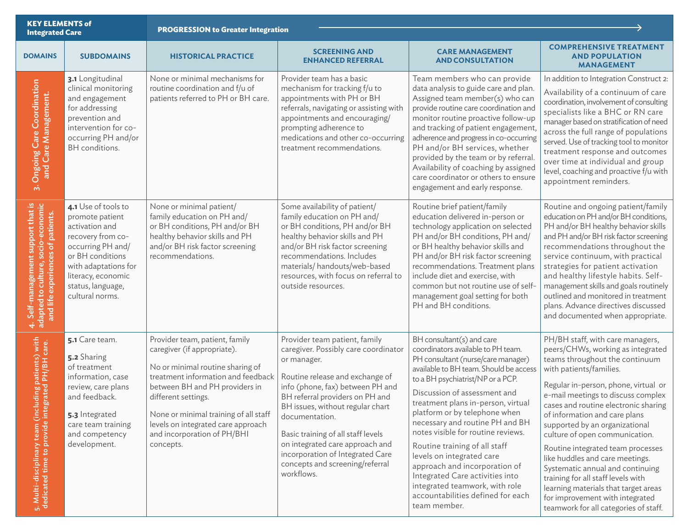| <b>KEY ELEMENTS of</b><br><b>Integrated Care</b>                                                                 |                                                                                                                                                                                                              | <b>PROGRESSION to Greater Integration</b>                                                                                                                                                                                                                                                                                   |                                                                                                                                                                                                                                                                                                                                                                                                                    |                                                                                                                                                                                                                                                                                                                                                                                                                                                                                                                                                                                               |                                                                                                                                                                                                                                                                                                                                                                                                                                                                                                                                                                                                                                     |  |
|------------------------------------------------------------------------------------------------------------------|--------------------------------------------------------------------------------------------------------------------------------------------------------------------------------------------------------------|-----------------------------------------------------------------------------------------------------------------------------------------------------------------------------------------------------------------------------------------------------------------------------------------------------------------------------|--------------------------------------------------------------------------------------------------------------------------------------------------------------------------------------------------------------------------------------------------------------------------------------------------------------------------------------------------------------------------------------------------------------------|-----------------------------------------------------------------------------------------------------------------------------------------------------------------------------------------------------------------------------------------------------------------------------------------------------------------------------------------------------------------------------------------------------------------------------------------------------------------------------------------------------------------------------------------------------------------------------------------------|-------------------------------------------------------------------------------------------------------------------------------------------------------------------------------------------------------------------------------------------------------------------------------------------------------------------------------------------------------------------------------------------------------------------------------------------------------------------------------------------------------------------------------------------------------------------------------------------------------------------------------------|--|
| <b>DOMAINS</b>                                                                                                   | <b>SUBDOMAINS</b>                                                                                                                                                                                            | <b>HISTORICAL PRACTICE</b>                                                                                                                                                                                                                                                                                                  | <b>SCREENING AND</b><br><b>ENHANCED REFERRAL</b>                                                                                                                                                                                                                                                                                                                                                                   | <b>CARE MANAGEMENT</b><br><b>AND CONSULTATION</b>                                                                                                                                                                                                                                                                                                                                                                                                                                                                                                                                             | <b>COMPREHENSIVE TREATMENT</b><br><b>AND POPULATION</b><br><b>MANAGEMENT</b>                                                                                                                                                                                                                                                                                                                                                                                                                                                                                                                                                        |  |
| 3. Ongoing Care Coordination<br>and Care Management.                                                             | 3.1 Longitudinal<br>clinical monitoring<br>and engagement<br>for addressing<br>prevention and<br>intervention for co-<br>occurring PH and/or<br>BH conditions.                                               | None or minimal mechanisms for<br>routine coordination and f/u of<br>patients referred to PH or BH care.                                                                                                                                                                                                                    | Provider team has a basic<br>mechanism for tracking f/u to<br>appointments with PH or BH<br>referrals, navigating or assisting with<br>appointments and encouraging/<br>prompting adherence to<br>medications and other co-occurring<br>treatment recommendations.                                                                                                                                                 | Team members who can provide<br>data analysis to guide care and plan.<br>Assigned team member(s) who can<br>provide routine care coordination and<br>monitor routine proactive follow-up<br>and tracking of patient engagement,<br>adherence and progress in co-occurring<br>PH and/or BH services, whether<br>provided by the team or by referral.<br>Availability of coaching by assigned<br>care coordinator or others to ensure<br>engagement and early response.                                                                                                                         | In addition to Integration Construct 2:<br>Availability of a continuum of care<br>coordination, involvement of consulting<br>specialists like a BHC or RN care<br>manager based on stratification of need<br>across the full range of populations<br>served. Use of tracking tool to monitor<br>treatment response and outcomes<br>over time at individual and group<br>level, coaching and proactive f/u with<br>appointment reminders.                                                                                                                                                                                            |  |
| 4. Self-management support that is<br>adapted to culture, socio-economic<br>and life experiences of patients.    | 4.1 Use of tools to<br>promote patient<br>activation and<br>recovery from co-<br>occurring PH and/<br>or BH conditions<br>with adaptations for<br>literacy, economic<br>status, language,<br>cultural norms. | None or minimal patient/<br>family education on PH and/<br>or BH conditions, PH and/or BH<br>healthy behavior skills and PH<br>and/or BH risk factor screening<br>recommendations.                                                                                                                                          | Some availability of patient/<br>family education on PH and/<br>or BH conditions, PH and/or BH<br>healthy behavior skills and PH<br>and/or BH risk factor screening<br>recommendations. Includes<br>materials/handouts/web-based<br>resources, with focus on referral to<br>outside resources.                                                                                                                     | Routine brief patient/family<br>education delivered in-person or<br>technology application on selected<br>PH and/or BH conditions, PH and/<br>or BH healthy behavior skills and<br>PH and/or BH risk factor screening<br>recommendations. Treatment plans<br>include diet and exercise, with<br>common but not routine use of self-<br>management goal setting for both<br>PH and BH conditions.                                                                                                                                                                                              | Routine and ongoing patient/family<br>education on PH and/or BH conditions,<br>PH and/or BH healthy behavior skills<br>and PH and/or BH risk factor screening<br>recommendations throughout the<br>service continuum, with practical<br>strategies for patient activation<br>and healthy lifestyle habits. Self-<br>management skills and goals routinely<br>outlined and monitored in treatment<br>plans. Advance directives discussed<br>and documented when appropriate.                                                                                                                                                         |  |
| uding patients) with<br>grated PH/BH care.<br>5. Multi-disciplinary team (incl<br>dedicated time to provide inte | 5.1 Care team.<br>5.2 Sharing<br>of treatment<br>information, case<br>review, care plans<br>and feedback.<br>5.3 Integrated<br>care team training<br>and competency<br>development.                          | Provider team, patient, family<br>caregiver (if appropriate).<br>No or minimal routine sharing of<br>treatment information and feedback<br>between BH and PH providers in<br>different settings.<br>None or minimal training of all staff<br>levels on integrated care approach<br>and incorporation of PH/BHI<br>concepts. | Provider team patient, family<br>caregiver. Possibly care coordinator<br>or manager.<br>Routine release and exchange of<br>info (phone, fax) between PH and<br>BH referral providers on PH and<br>BH issues, without regular chart<br>documentation.<br>Basic training of all staff levels<br>on integrated care approach and<br>incorporation of Integrated Care<br>concepts and screening/referral<br>workflows. | BH consultant(s) and care<br>coordinators available to PH team.<br>PH consultant (nurse/care manager)<br>available to BH team. Should be access<br>to a BH psychiatrist/NP or a PCP.<br>Discussion of assessment and<br>treatment plans in-person, virtual<br>platform or by telephone when<br>necessary and routine PH and BH<br>notes visible for routine reviews.<br>Routine training of all staff<br>levels on integrated care<br>approach and incorporation of<br>Integrated Care activities into<br>integrated teamwork, with role<br>accountabilities defined for each<br>team member. | PH/BH staff, with care managers,<br>peers/CHWs, working as integrated<br>teams throughout the continuum<br>with patients/families.<br>Regular in-person, phone, virtual or<br>e-mail meetings to discuss complex<br>cases and routine electronic sharing<br>of information and care plans<br>supported by an organizational<br>culture of open communication.<br>Routine integrated team processes<br>like huddles and care meetings.<br>Systematic annual and continuing<br>training for all staff levels with<br>learning materials that target areas<br>for improvement with integrated<br>teamwork for all categories of staff. |  |